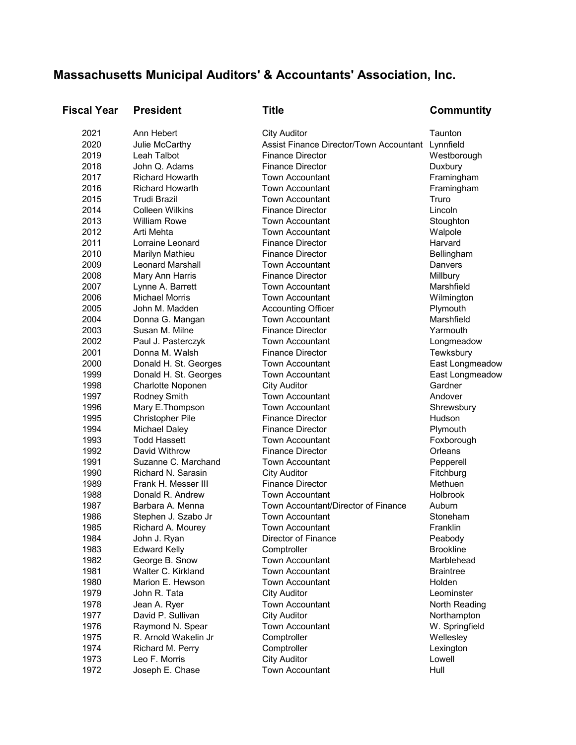## **Massachusetts Municipal Auditors' & Accountants' Association, Inc.**

| <b>Fiscal Year</b> | <b>President</b>        | <b>Title</b>                                      | Communtity       |
|--------------------|-------------------------|---------------------------------------------------|------------------|
| 2021               | Ann Hebert              | <b>City Auditor</b>                               | Taunton          |
| 2020               | Julie McCarthy          | Assist Finance Director/Town Accountant Lynnfield |                  |
| 2019               | Leah Talbot             | <b>Finance Director</b>                           | Westborough      |
| 2018               | John Q. Adams           | <b>Finance Director</b>                           | Duxbury          |
| 2017               | <b>Richard Howarth</b>  | <b>Town Accountant</b>                            | Framingham       |
| 2016               | <b>Richard Howarth</b>  | <b>Town Accountant</b>                            | Framingham       |
| 2015               | <b>Trudi Brazil</b>     | <b>Town Accountant</b>                            | Truro            |
| 2014               | <b>Colleen Wilkins</b>  | <b>Finance Director</b>                           | Lincoln          |
| 2013               | <b>William Rowe</b>     | <b>Town Accountant</b>                            | Stoughton        |
| 2012               | Arti Mehta              | <b>Town Accountant</b>                            | Walpole          |
| 2011               | Lorraine Leonard        | <b>Finance Director</b>                           | Harvard          |
| 2010               | Marilyn Mathieu         | <b>Finance Director</b>                           | Bellingham       |
| 2009               | <b>Leonard Marshall</b> | <b>Town Accountant</b>                            | Danvers          |
| 2008               | Mary Ann Harris         | <b>Finance Director</b>                           | Millbury         |
| 2007               | Lynne A. Barrett        | <b>Town Accountant</b>                            | Marshfield       |
| 2006               | <b>Michael Morris</b>   | <b>Town Accountant</b>                            | Wilmington       |
| 2005               | John M. Madden          | <b>Accounting Officer</b>                         | Plymouth         |
| 2004               | Donna G. Mangan         | <b>Town Accountant</b>                            | Marshfield       |
| 2003               | Susan M. Milne          | <b>Finance Director</b>                           | Yarmouth         |
| 2002               | Paul J. Pasterczyk      | <b>Town Accountant</b>                            | Longmeadow       |
| 2001               | Donna M. Walsh          | <b>Finance Director</b>                           | Tewksbury        |
| 2000               | Donald H. St. Georges   | <b>Town Accountant</b>                            | East Longmeadow  |
| 1999               | Donald H. St. Georges   | <b>Town Accountant</b>                            | East Longmeadow  |
| 1998               | Charlotte Noponen       | <b>City Auditor</b>                               | Gardner          |
| 1997               | Rodney Smith            | <b>Town Accountant</b>                            | Andover          |
| 1996               | Mary E.Thompson         | <b>Town Accountant</b>                            | Shrewsbury       |
| 1995               | <b>Christopher Pile</b> | <b>Finance Director</b>                           | Hudson           |
| 1994               | <b>Michael Daley</b>    | <b>Finance Director</b>                           | Plymouth         |
| 1993               | <b>Todd Hassett</b>     | <b>Town Accountant</b>                            | Foxborough       |
| 1992               | David Withrow           | <b>Finance Director</b>                           | Orleans          |
| 1991               | Suzanne C. Marchand     | Town Accountant                                   | Pepperell        |
| 1990               | Richard N. Sarasin      | <b>City Auditor</b>                               | Fitchburg        |
| 1989               | Frank H. Messer III     | <b>Finance Director</b>                           | Methuen          |
| 1988               | Donald R. Andrew        | Town Accountant                                   | Holbrook         |
| 1987               | Barbara A. Menna        | Town Accountant/Director of Finance               | Auburn           |
| 1986               | Stephen J. Szabo Jr     | <b>Town Accountant</b>                            | Stoneham         |
| 1985               | Richard A. Mourey       | Town Accountant                                   | Franklin         |
| 1984               | John J. Ryan            | Director of Finance                               | Peabody          |
| 1983               | <b>Edward Kelly</b>     | Comptroller                                       | <b>Brookline</b> |
| 1982               | George B. Snow          | <b>Town Accountant</b>                            | Marblehead       |
| 1981               | Walter C. Kirkland      | Town Accountant                                   | <b>Braintree</b> |
| 1980               | Marion E. Hewson        | <b>Town Accountant</b>                            | Holden           |
| 1979               | John R. Tata            | <b>City Auditor</b>                               | Leominster       |
| 1978               | Jean A. Ryer            | <b>Town Accountant</b>                            | North Reading    |
| 1977               | David P. Sullivan       | <b>City Auditor</b>                               | Northampton      |
| 1976               | Raymond N. Spear        | <b>Town Accountant</b>                            | W. Springfield   |
| 1975               | R. Arnold Wakelin Jr    | Comptroller                                       | Wellesley        |
| 1974               | Richard M. Perry        | Comptroller                                       | Lexington        |
| 1973               | Leo F. Morris           | <b>City Auditor</b>                               | Lowell           |
| 1972               | Joseph E. Chase         | Town Accountant                                   | Hull             |